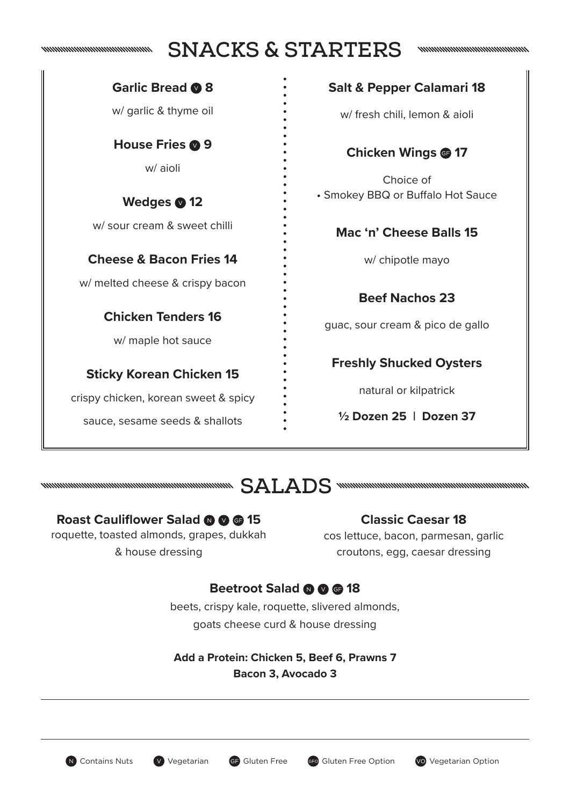#### nummmmmmmmmmmm

## **SNACKS & STARTERS**

**Garlic Bread 8**

w/ garlic & thyme oil

**House Fries © 9** w/ aioli

Wedges **12** w/ sour cream & sweet chilli

**Cheese & Bacon Fries 14**

w/ melted cheese & crispy bacon

**Chicken Tenders 16**

w/ maple hot sauce

#### **Sticky Korean Chicken 15**

crispy chicken, korean sweet & spicy

sauce, sesame seeds & shallots

#### **Salt & Pepper Calamari 18**

w/ fresh chili, lemon & aioli

#### **Chicken Wings @ 17**

Choice of • Smokey BBQ or Buffalo Hot Sauce

#### **Mac 'n' Cheese Balls 15**

w/ chipotle mayo

**Beef Nachos 23**

guac, sour cream & pico de gallo

**Freshly Shucked Oysters**

natural or kilpatrick

**½ Dozen 25 | Dozen 37**



#### **Roast Cauliflower Salad @ @ @ 15**

roquette, toasted almonds, grapes, dukkah & house dressing

#### **Classic Caesar 18**

cos lettuce, bacon, parmesan, garlic croutons, egg, caesar dressing

#### **Beetroot Salad @ @ @ 18**

beets, crispy kale, roquette, slivered almonds, goats cheese curd & house dressing

**Add a Protein: Chicken 5, Beef 6, Prawns 7 Bacon 3, Avocado 3**

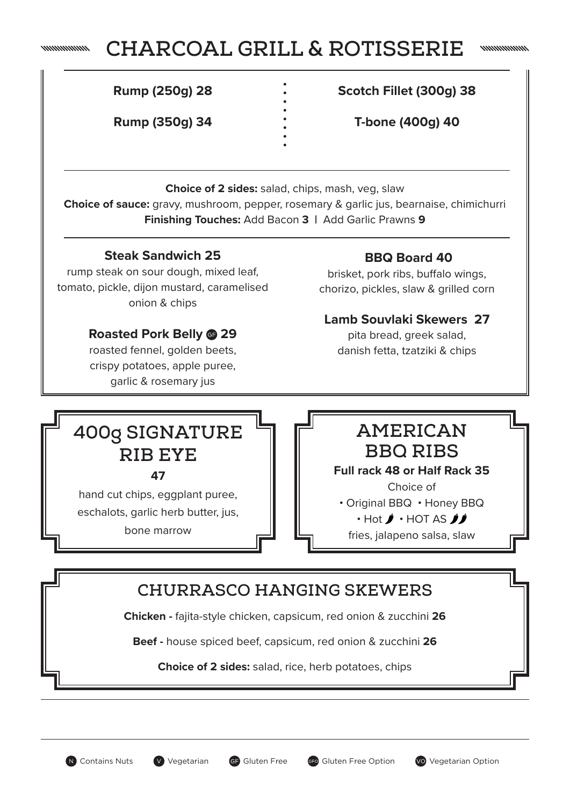#### nummmmn

# **CHARCOAL GRILL & ROTISSERIE**

**Rump (250g) 28**

**Rump (350g) 34**

**Scotch Fillet (300g) 38**

**T-bone (400g) 40**

**Choice of 2 sides:** salad, chips, mash, veg, slaw **Choice of sauce:** gravy, mushroom, pepper, rosemary & garlic jus, bearnaise, chimichurri **Finishing Touches:** Add Bacon **3 |** Add Garlic Prawns **9**

#### **Steak Sandwich 25**

rump steak on sour dough, mixed leaf, tomato, pickle, dijon mustard, caramelised onion & chips

#### **Roasted Pork Belly 29**

roasted fennel, golden beets, crispy potatoes, apple puree, garlic & rosemary jus

### **BBQ Board 40**

brisket, pork ribs, buffalo wings, chorizo, pickles, slaw & grilled corn

#### **Lamb Souvlaki Skewers 27**

pita bread, greek salad, danish fetta, tzatziki & chips

# **400g SIGNATURE RIB EYE**

**47**

hand cut chips, eggplant puree, eschalots, garlic herb butter, jus, bone marrow

## **AMERICAN BBQ RIBS**

#### **Full rack 48 or Half Rack 35**

Choice of • Original BBQ • Honey BBQ  $\cdot$  Hot  $\cancel{\prime}$   $\cdot$  HOT AS  $\cancel{\prime}$ fries, jalapeno salsa, slaw

## **CHURRASCO HANGING SKEWERS**

**Chicken -** fajita-style chicken, capsicum, red onion & zucchini **26**

**Beef -** house spiced beef, capsicum, red onion & zucchini **26**

**Choice of 2 sides:** salad, rice, herb potatoes, chips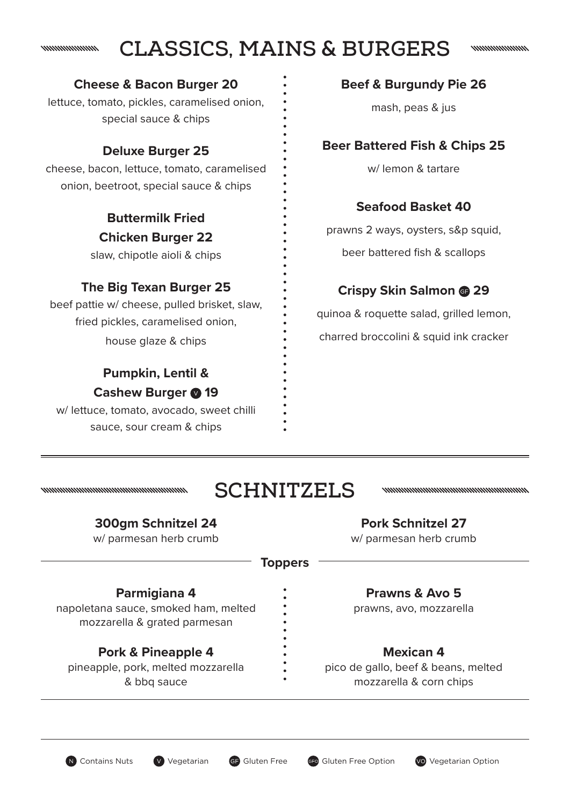#### **CLASSICS, MAINS & BURGERS** nnnnnnnnnnn

nnnnnnnnnn

#### **Cheese & Bacon Burger 20**

lettuce, tomato, pickles, caramelised onion, special sauce & chips

### **Deluxe Burger 25**

cheese, bacon, lettuce, tomato, caramelised onion, beetroot, special sauce & chips

> **Buttermilk Fried Chicken Burger 22**

slaw, chipotle aioli & chips

## **The Big Texan Burger 25**

beef pattie w/ cheese, pulled brisket, slaw, fried pickles, caramelised onion, house glaze & chips

## **Pumpkin, Lentil & Cashew Burger @ 19**

w/ lettuce, tomato, avocado, sweet chilli sauce, sour cream & chips

#### **Beef & Burgundy Pie 26**

mash, peas & jus

## **Beer Battered Fish & Chips 25**

w/ lemon & tartare

## **Seafood Basket 40**

prawns 2 ways, oysters, s&p squid,

beer battered fish & scallops

## **Crispy Skin Salmon 29**

quinoa & roquette salad, grilled lemon, charred broccolini & squid ink cracker

# **SCHNITZELS**

#### **300gm Schnitzel 24**

nommunummunummunummunum

w/ parmesan herb crumb

#### **Pork Schnitzel 27**

nnummunummunummunummunum

w/ parmesan herb crumb

#### **Toppers**

#### **Parmigiana 4**

napoletana sauce, smoked ham, melted mozzarella & grated parmesan

### **Pork & Pineapple 4**

pineapple, pork, melted mozzarella & bbq sauce

#### **Prawns & Avo 5**

prawns, avo, mozzarella

#### **Mexican 4**

pico de gallo, beef & beans, melted mozzarella & corn chips

N Contains Nuts **V** Vegetarian GF Gluten Free GF Gluten Free Option **Vo** Vegetarian Option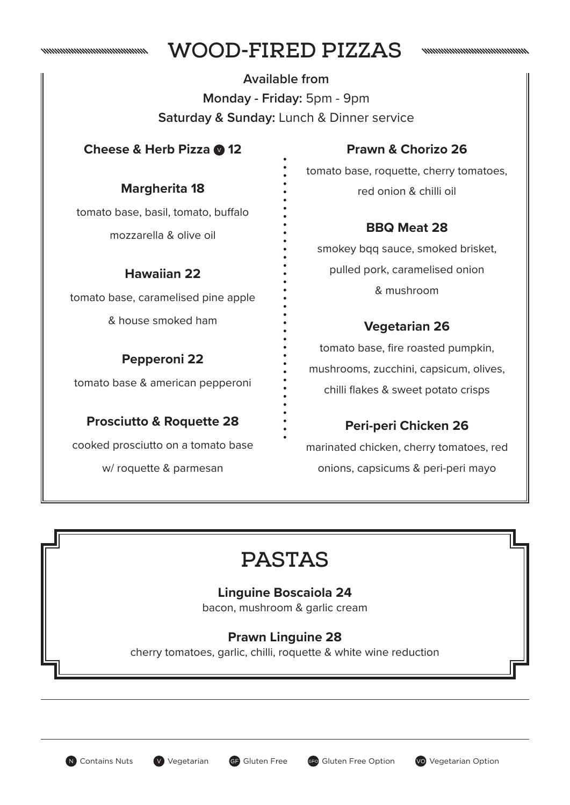

# **WOOD-FIRED PIZZAS**

**Available from Monday - Friday:** 5pm - 9pm **Saturday & Sunday:** Lunch & Dinner service

#### **Cheese & Herb Pizza @ 12**

**Margherita 18**

## **Prawn & Chorizo 26**

nummmmmmmmmmm

tomato base, roquette, cherry tomatoes, red onion & chilli oil

## **BBQ Meat 28**

smokey bqq sauce, smoked brisket, pulled pork, caramelised onion & mushroom

## **Vegetarian 26**

tomato base, fire roasted pumpkin, mushrooms, zucchini, capsicum, olives, chilli flakes & sweet potato crisps

## **Peri-peri Chicken 26**

marinated chicken, cherry tomatoes, red onions, capsicums & peri-peri mayo

# **PASTAS**

### **Linguine Boscaiola 24**

bacon, mushroom & garlic cream

## **Prawn Linguine 28**

cherry tomatoes, garlic, chilli, roquette & white wine reduction

## tomato base, basil, tomato, buffalo

mozzarella & olive oil

### **Hawaiian 22**

tomato base, caramelised pine apple

& house smoked ham

## **Pepperoni 22**

tomato base & american pepperoni

## **Prosciutto & Roquette 28**

cooked prosciutto on a tomato base

w/ roquette & parmesan